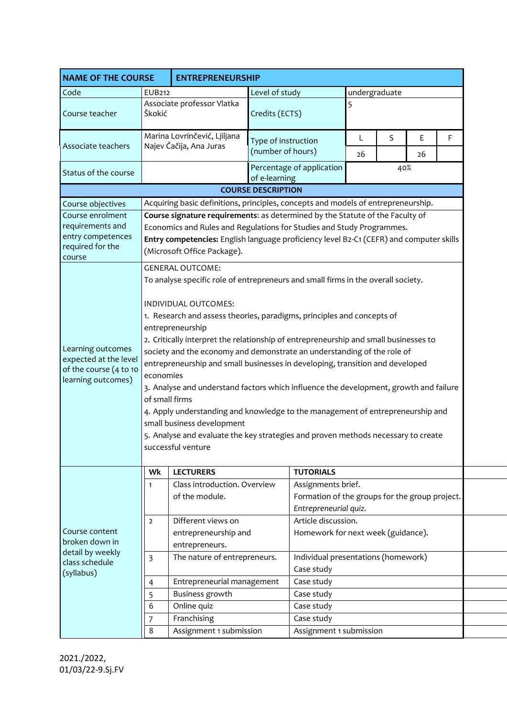| <b>NAME OF THE COURSE</b>                                                                                                                                                             |                                                                                                                                                                                                                                                                                                                                                                                                                                                                                                                                                                                                                                                                                                                                                                                                                                                                                                                                                                                                                                                                                                                               | <b>ENTREPRENEURSHIP</b>                                                           |                                                           |                                                                                               |         |   |         |   |  |  |  |
|---------------------------------------------------------------------------------------------------------------------------------------------------------------------------------------|-------------------------------------------------------------------------------------------------------------------------------------------------------------------------------------------------------------------------------------------------------------------------------------------------------------------------------------------------------------------------------------------------------------------------------------------------------------------------------------------------------------------------------------------------------------------------------------------------------------------------------------------------------------------------------------------------------------------------------------------------------------------------------------------------------------------------------------------------------------------------------------------------------------------------------------------------------------------------------------------------------------------------------------------------------------------------------------------------------------------------------|-----------------------------------------------------------------------------------|-----------------------------------------------------------|-----------------------------------------------------------------------------------------------|---------|---|---------|---|--|--|--|
| Code                                                                                                                                                                                  | <b>EUB212</b>                                                                                                                                                                                                                                                                                                                                                                                                                                                                                                                                                                                                                                                                                                                                                                                                                                                                                                                                                                                                                                                                                                                 |                                                                                   | undergraduate<br>Level of study                           |                                                                                               |         |   |         |   |  |  |  |
| Course teacher                                                                                                                                                                        | Škokić                                                                                                                                                                                                                                                                                                                                                                                                                                                                                                                                                                                                                                                                                                                                                                                                                                                                                                                                                                                                                                                                                                                        | Associate professor Vlatka                                                        | Credits (ECTS)                                            |                                                                                               | 5       |   |         |   |  |  |  |
| Associate teachers                                                                                                                                                                    |                                                                                                                                                                                                                                                                                                                                                                                                                                                                                                                                                                                                                                                                                                                                                                                                                                                                                                                                                                                                                                                                                                                               | Marina Lovrinčević, Ljiljana<br>Najev Čačija, Ana Juras                           | Type of instruction<br>(number of hours)                  |                                                                                               | L<br>26 | S | Ε<br>26 | F |  |  |  |
| Status of the course                                                                                                                                                                  |                                                                                                                                                                                                                                                                                                                                                                                                                                                                                                                                                                                                                                                                                                                                                                                                                                                                                                                                                                                                                                                                                                                               |                                                                                   | of e-learning                                             | Percentage of application                                                                     | 40%     |   |         |   |  |  |  |
|                                                                                                                                                                                       |                                                                                                                                                                                                                                                                                                                                                                                                                                                                                                                                                                                                                                                                                                                                                                                                                                                                                                                                                                                                                                                                                                                               |                                                                                   | <b>COURSE DESCRIPTION</b>                                 |                                                                                               |         |   |         |   |  |  |  |
| Course objectives                                                                                                                                                                     |                                                                                                                                                                                                                                                                                                                                                                                                                                                                                                                                                                                                                                                                                                                                                                                                                                                                                                                                                                                                                                                                                                                               | Acquiring basic definitions, principles, concepts and models of entrepreneurship. |                                                           |                                                                                               |         |   |         |   |  |  |  |
| Course enrolment<br>requirements and<br>entry competences<br>required for the<br>course<br>Learning outcomes<br>expected at the level<br>of the course (4 to 10<br>learning outcomes) | Course signature requirements: as determined by the Statute of the Faculty of<br>Economics and Rules and Regulations for Studies and Study Programmes.<br>Entry competencies: English language proficiency level B2-C1 (CEFR) and computer skills<br>(Microsoft Office Package).<br><b>GENERAL OUTCOME:</b><br>To analyse specific role of entrepreneurs and small firms in the overall society.<br>INDIVIDUAL OUTCOMES:<br>1. Research and assess theories, paradigms, principles and concepts of<br>entrepreneurship<br>2. Critically interpret the relationship of entrepreneurship and small businesses to<br>society and the economy and demonstrate an understanding of the role of<br>entrepreneurship and small businesses in developing, transition and developed<br>economies<br>3. Analyse and understand factors which influence the development, growth and failure<br>of small firms<br>4. Apply understanding and knowledge to the management of entrepreneurship and<br>small business development<br>5. Analyse and evaluate the key strategies and proven methods necessary to create<br>successful venture |                                                                                   |                                                           |                                                                                               |         |   |         |   |  |  |  |
|                                                                                                                                                                                       |                                                                                                                                                                                                                                                                                                                                                                                                                                                                                                                                                                                                                                                                                                                                                                                                                                                                                                                                                                                                                                                                                                                               |                                                                                   |                                                           |                                                                                               |         |   |         |   |  |  |  |
| Course content<br>broken down in<br>detail by weekly<br>class schedule<br>(syllabus)                                                                                                  | Wk                                                                                                                                                                                                                                                                                                                                                                                                                                                                                                                                                                                                                                                                                                                                                                                                                                                                                                                                                                                                                                                                                                                            | <b>LECTURERS</b>                                                                  |                                                           | <b>TUTORIALS</b>                                                                              |         |   |         |   |  |  |  |
|                                                                                                                                                                                       | $\mathbf{1}$                                                                                                                                                                                                                                                                                                                                                                                                                                                                                                                                                                                                                                                                                                                                                                                                                                                                                                                                                                                                                                                                                                                  | Class introduction. Overview<br>of the module.                                    |                                                           | Assignments brief.<br>Formation of the groups for the group project.<br>Entrepreneurial quiz. |         |   |         |   |  |  |  |
|                                                                                                                                                                                       | $\overline{2}$                                                                                                                                                                                                                                                                                                                                                                                                                                                                                                                                                                                                                                                                                                                                                                                                                                                                                                                                                                                                                                                                                                                | Different views on<br>entrepreneurship and<br>entrepreneurs.                      | Article discussion.<br>Homework for next week (guidance). |                                                                                               |         |   |         |   |  |  |  |
|                                                                                                                                                                                       | 3                                                                                                                                                                                                                                                                                                                                                                                                                                                                                                                                                                                                                                                                                                                                                                                                                                                                                                                                                                                                                                                                                                                             | The nature of entrepreneurs.                                                      |                                                           | Individual presentations (homework)<br>Case study                                             |         |   |         |   |  |  |  |
|                                                                                                                                                                                       | 4                                                                                                                                                                                                                                                                                                                                                                                                                                                                                                                                                                                                                                                                                                                                                                                                                                                                                                                                                                                                                                                                                                                             | Entrepreneurial management                                                        | Case study                                                |                                                                                               |         |   |         |   |  |  |  |
|                                                                                                                                                                                       |                                                                                                                                                                                                                                                                                                                                                                                                                                                                                                                                                                                                                                                                                                                                                                                                                                                                                                                                                                                                                                                                                                                               |                                                                                   | Case study                                                |                                                                                               |         |   |         |   |  |  |  |
|                                                                                                                                                                                       | 5                                                                                                                                                                                                                                                                                                                                                                                                                                                                                                                                                                                                                                                                                                                                                                                                                                                                                                                                                                                                                                                                                                                             | Business growth                                                                   |                                                           |                                                                                               |         |   |         |   |  |  |  |
|                                                                                                                                                                                       | 6                                                                                                                                                                                                                                                                                                                                                                                                                                                                                                                                                                                                                                                                                                                                                                                                                                                                                                                                                                                                                                                                                                                             | Online quiz                                                                       |                                                           | Case study                                                                                    |         |   |         |   |  |  |  |
|                                                                                                                                                                                       | 7<br>8                                                                                                                                                                                                                                                                                                                                                                                                                                                                                                                                                                                                                                                                                                                                                                                                                                                                                                                                                                                                                                                                                                                        | Franchising<br>Assignment 1 submission                                            |                                                           | Case study<br>Assignment 1 submission                                                         |         |   |         |   |  |  |  |

2021./2022, 01/03/22-9.Sj.FV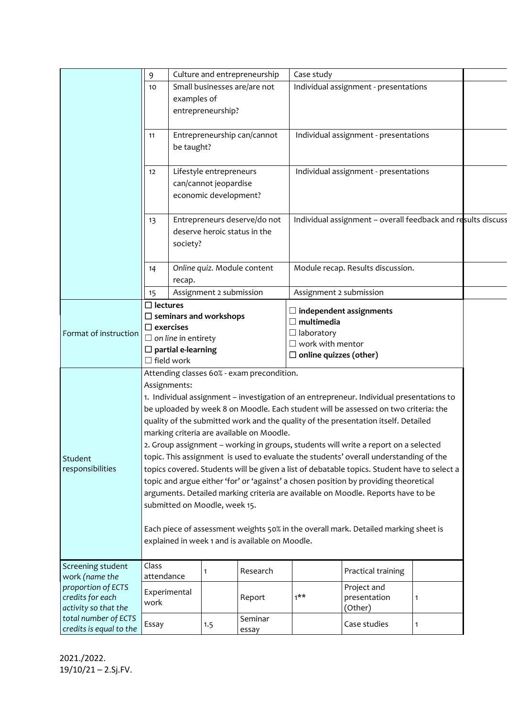|                                        | 9                                                                                                                                      | Culture and entrepreneurship                                     |                         |                                            | Case study                                                   |                                       |              |  |  |  |
|----------------------------------------|----------------------------------------------------------------------------------------------------------------------------------------|------------------------------------------------------------------|-------------------------|--------------------------------------------|--------------------------------------------------------------|---------------------------------------|--------------|--|--|--|
|                                        | 10                                                                                                                                     | Small businesses are/are not                                     |                         |                                            |                                                              | Individual assignment - presentations |              |  |  |  |
|                                        |                                                                                                                                        | examples of                                                      |                         |                                            |                                                              |                                       |              |  |  |  |
|                                        |                                                                                                                                        | entrepreneurship?                                                |                         |                                            |                                                              |                                       |              |  |  |  |
|                                        |                                                                                                                                        |                                                                  |                         |                                            |                                                              |                                       |              |  |  |  |
|                                        | 11                                                                                                                                     | Entrepreneurship can/cannot                                      |                         |                                            |                                                              | Individual assignment - presentations |              |  |  |  |
|                                        |                                                                                                                                        | be taught?                                                       |                         |                                            |                                                              |                                       |              |  |  |  |
|                                        |                                                                                                                                        |                                                                  |                         |                                            |                                                              |                                       |              |  |  |  |
|                                        | 12                                                                                                                                     |                                                                  | Lifestyle entrepreneurs |                                            |                                                              | Individual assignment - presentations |              |  |  |  |
|                                        |                                                                                                                                        |                                                                  | can/cannot jeopardise   |                                            |                                                              |                                       |              |  |  |  |
|                                        |                                                                                                                                        | economic development?                                            |                         |                                            |                                                              |                                       |              |  |  |  |
|                                        |                                                                                                                                        |                                                                  |                         |                                            |                                                              |                                       |              |  |  |  |
|                                        | 13                                                                                                                                     |                                                                  |                         | Entrepreneurs deserve/do not               | Individual assignment - overall feedback and results discuss |                                       |              |  |  |  |
|                                        |                                                                                                                                        | deserve heroic status in the                                     |                         |                                            |                                                              |                                       |              |  |  |  |
|                                        | society?                                                                                                                               |                                                                  |                         |                                            |                                                              |                                       |              |  |  |  |
|                                        |                                                                                                                                        |                                                                  |                         |                                            |                                                              |                                       |              |  |  |  |
|                                        | 14                                                                                                                                     | Module recap. Results discussion.<br>Online quiz. Module content |                         |                                            |                                                              |                                       |              |  |  |  |
|                                        |                                                                                                                                        | recap.                                                           |                         |                                            |                                                              |                                       |              |  |  |  |
|                                        | 15                                                                                                                                     |                                                                  | Assignment 2 submission |                                            | Assignment 2 submission                                      |                                       |              |  |  |  |
|                                        | $\Box$ lectures                                                                                                                        |                                                                  |                         |                                            |                                                              |                                       |              |  |  |  |
|                                        |                                                                                                                                        |                                                                  |                         |                                            | $\Box$ independent assignments                               |                                       |              |  |  |  |
|                                        | $\Box$ seminars and workshops<br>$\Box$ exercises                                                                                      |                                                                  |                         |                                            | $\Box$ multimedia                                            |                                       |              |  |  |  |
| Format of instruction                  | $\Box$ on line in entirety                                                                                                             |                                                                  |                         |                                            | $\Box$ laboratory                                            |                                       |              |  |  |  |
|                                        | $\square$ partial e-learning                                                                                                           |                                                                  |                         |                                            | $\Box$ work with mentor                                      |                                       |              |  |  |  |
|                                        | $\Box$ field work                                                                                                                      |                                                                  |                         |                                            | $\Box$ online quizzes (other)                                |                                       |              |  |  |  |
|                                        |                                                                                                                                        |                                                                  |                         | Attending classes 60% - exam precondition. |                                                              |                                       |              |  |  |  |
|                                        | Assignments:                                                                                                                           |                                                                  |                         |                                            |                                                              |                                       |              |  |  |  |
|                                        | 1. Individual assignment - investigation of an entrepreneur. Individual presentations to                                               |                                                                  |                         |                                            |                                                              |                                       |              |  |  |  |
|                                        | be uploaded by week 8 on Moodle. Each student will be assessed on two criteria: the                                                    |                                                                  |                         |                                            |                                                              |                                       |              |  |  |  |
|                                        | quality of the submitted work and the quality of the presentation itself. Detailed                                                     |                                                                  |                         |                                            |                                                              |                                       |              |  |  |  |
|                                        | marking criteria are available on Moodle.                                                                                              |                                                                  |                         |                                            |                                                              |                                       |              |  |  |  |
|                                        | 2. Group assignment - working in groups, students will write a report on a selected                                                    |                                                                  |                         |                                            |                                                              |                                       |              |  |  |  |
| Student                                | topic. This assignment is used to evaluate the students' overall understanding of the                                                  |                                                                  |                         |                                            |                                                              |                                       |              |  |  |  |
| responsibilities                       | topics covered. Students will be given a list of debatable topics. Student have to select a                                            |                                                                  |                         |                                            |                                                              |                                       |              |  |  |  |
|                                        | topic and argue either 'for' or 'against' a chosen position by providing theoretical                                                   |                                                                  |                         |                                            |                                                              |                                       |              |  |  |  |
|                                        | arguments. Detailed marking criteria are available on Moodle. Reports have to be                                                       |                                                                  |                         |                                            |                                                              |                                       |              |  |  |  |
|                                        | submitted on Moodle, week 15.                                                                                                          |                                                                  |                         |                                            |                                                              |                                       |              |  |  |  |
|                                        |                                                                                                                                        |                                                                  |                         |                                            |                                                              |                                       |              |  |  |  |
|                                        |                                                                                                                                        |                                                                  |                         |                                            |                                                              |                                       |              |  |  |  |
|                                        | Each piece of assessment weights 50% in the overall mark. Detailed marking sheet is<br>explained in week 1 and is available on Moodle. |                                                                  |                         |                                            |                                                              |                                       |              |  |  |  |
|                                        |                                                                                                                                        |                                                                  |                         |                                            |                                                              |                                       |              |  |  |  |
|                                        |                                                                                                                                        |                                                                  |                         |                                            |                                                              |                                       |              |  |  |  |
| Screening student<br>work (name the    | Class                                                                                                                                  |                                                                  | 1                       | Research                                   |                                                              | Practical training                    |              |  |  |  |
|                                        | attendance                                                                                                                             |                                                                  |                         |                                            |                                                              |                                       |              |  |  |  |
| proportion of ECTS<br>credits for each | Experimental                                                                                                                           |                                                                  |                         | Report                                     | $1***$                                                       | Project and<br>presentation           | 1            |  |  |  |
| activity so that the                   | work                                                                                                                                   |                                                                  |                         |                                            |                                                              | (Other)                               |              |  |  |  |
| total number of ECTS                   |                                                                                                                                        |                                                                  |                         | Seminar                                    |                                                              |                                       |              |  |  |  |
| credits is equal to the                | Essay                                                                                                                                  |                                                                  | 1.5                     | essay                                      |                                                              | Case studies                          | $\mathbf{1}$ |  |  |  |
|                                        |                                                                                                                                        |                                                                  |                         |                                            |                                                              |                                       |              |  |  |  |

2021./2022. 19/10/21 – 2.Sj.FV.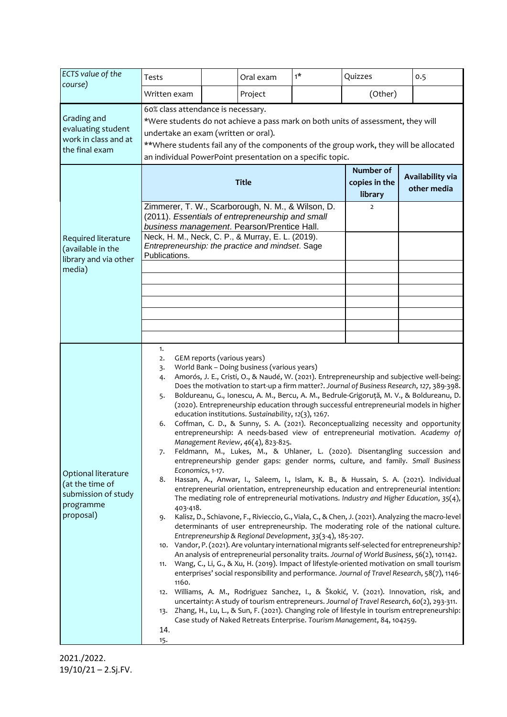| ECTS value of the<br>course)                                                            | Tests                                                                                                                                                                                                                                                                                                                                                                                                                                                                                                                                                                                                                                                                                                                                                                                                                                                                                                                                                                                                                                                                                                                                                                                                                                                                                                                                                                                                                                                                                                                                                                                                                                                                                                                                                                                                                                                                                                                                                                                                                                                                                                                                                                                                                                                                                                                                       |              | Oral exam                             | $1*$                            | Quizzes | 0.5 |  |  |  |
|-----------------------------------------------------------------------------------------|---------------------------------------------------------------------------------------------------------------------------------------------------------------------------------------------------------------------------------------------------------------------------------------------------------------------------------------------------------------------------------------------------------------------------------------------------------------------------------------------------------------------------------------------------------------------------------------------------------------------------------------------------------------------------------------------------------------------------------------------------------------------------------------------------------------------------------------------------------------------------------------------------------------------------------------------------------------------------------------------------------------------------------------------------------------------------------------------------------------------------------------------------------------------------------------------------------------------------------------------------------------------------------------------------------------------------------------------------------------------------------------------------------------------------------------------------------------------------------------------------------------------------------------------------------------------------------------------------------------------------------------------------------------------------------------------------------------------------------------------------------------------------------------------------------------------------------------------------------------------------------------------------------------------------------------------------------------------------------------------------------------------------------------------------------------------------------------------------------------------------------------------------------------------------------------------------------------------------------------------------------------------------------------------------------------------------------------------|--------------|---------------------------------------|---------------------------------|---------|-----|--|--|--|
|                                                                                         | Written exam                                                                                                                                                                                                                                                                                                                                                                                                                                                                                                                                                                                                                                                                                                                                                                                                                                                                                                                                                                                                                                                                                                                                                                                                                                                                                                                                                                                                                                                                                                                                                                                                                                                                                                                                                                                                                                                                                                                                                                                                                                                                                                                                                                                                                                                                                                                                |              | Project                               |                                 | (Other) |     |  |  |  |
| Grading and<br>evaluating student<br>work in class and at<br>the final exam             | 60% class attendance is necessary.<br>*Were students do not achieve a pass mark on both units of assessment, they will<br>undertake an exam (written or oral).<br>**Where students fail any of the components of the group work, they will be allocated<br>an individual PowerPoint presentation on a specific topic.                                                                                                                                                                                                                                                                                                                                                                                                                                                                                                                                                                                                                                                                                                                                                                                                                                                                                                                                                                                                                                                                                                                                                                                                                                                                                                                                                                                                                                                                                                                                                                                                                                                                                                                                                                                                                                                                                                                                                                                                                       |              |                                       |                                 |         |     |  |  |  |
|                                                                                         |                                                                                                                                                                                                                                                                                                                                                                                                                                                                                                                                                                                                                                                                                                                                                                                                                                                                                                                                                                                                                                                                                                                                                                                                                                                                                                                                                                                                                                                                                                                                                                                                                                                                                                                                                                                                                                                                                                                                                                                                                                                                                                                                                                                                                                                                                                                                             | <b>Title</b> | Number of<br>copies in the<br>library | Availability via<br>other media |         |     |  |  |  |
| Required literature<br>(available in the<br>library and via other<br>media)             | Zimmerer, T. W., Scarborough, N. M., & Wilson, D.<br>$\overline{2}$<br>(2011). Essentials of entrepreneurship and small<br>business management. Pearson/Prentice Hall.<br>Neck, H. M., Neck, C. P., & Murray, E. L. (2019).                                                                                                                                                                                                                                                                                                                                                                                                                                                                                                                                                                                                                                                                                                                                                                                                                                                                                                                                                                                                                                                                                                                                                                                                                                                                                                                                                                                                                                                                                                                                                                                                                                                                                                                                                                                                                                                                                                                                                                                                                                                                                                                 |              |                                       |                                 |         |     |  |  |  |
|                                                                                         | Entrepreneurship: the practice and mindset. Sage<br>Publications.                                                                                                                                                                                                                                                                                                                                                                                                                                                                                                                                                                                                                                                                                                                                                                                                                                                                                                                                                                                                                                                                                                                                                                                                                                                                                                                                                                                                                                                                                                                                                                                                                                                                                                                                                                                                                                                                                                                                                                                                                                                                                                                                                                                                                                                                           |              |                                       |                                 |         |     |  |  |  |
|                                                                                         |                                                                                                                                                                                                                                                                                                                                                                                                                                                                                                                                                                                                                                                                                                                                                                                                                                                                                                                                                                                                                                                                                                                                                                                                                                                                                                                                                                                                                                                                                                                                                                                                                                                                                                                                                                                                                                                                                                                                                                                                                                                                                                                                                                                                                                                                                                                                             |              |                                       |                                 |         |     |  |  |  |
|                                                                                         |                                                                                                                                                                                                                                                                                                                                                                                                                                                                                                                                                                                                                                                                                                                                                                                                                                                                                                                                                                                                                                                                                                                                                                                                                                                                                                                                                                                                                                                                                                                                                                                                                                                                                                                                                                                                                                                                                                                                                                                                                                                                                                                                                                                                                                                                                                                                             |              |                                       |                                 |         |     |  |  |  |
| Optional literature<br>(at the time of<br>submission of study<br>programme<br>proposal) | 1.<br>GEM reports (various years)<br>2.<br>World Bank - Doing business (various years)<br>3.<br>Amorós, J. E., Cristi, O., & Naudé, W. (2021). Entrepreneurship and subjective well-being:<br>4.<br>Does the motivation to start-up a firm matter?. Journal of Business Research, 127, 389-398.<br>Boldureanu, G., Ionescu, A. M., Bercu, A. M., Bedrule-Grigoruță, M. V., & Boldureanu, D.<br>5.<br>(2020). Entrepreneurship education through successful entrepreneurial models in higher<br>education institutions. Sustainability, 12(3), 1267.<br>Coffman, C. D., & Sunny, S. A. (2021). Reconceptualizing necessity and opportunity<br>6.<br>entrepreneurship: A needs-based view of entrepreneurial motivation. Academy of<br>Management Review, 46(4), 823-825.<br>Feldmann, M., Lukes, M., & Uhlaner, L. (2020). Disentangling succession and<br>7.<br>entrepreneurship gender gaps: gender norms, culture, and family. Small Business<br>Economics, 1-17.<br>Hassan, A., Anwar, I., Saleem, I., Islam, K. B., & Hussain, S. A. (2021). Individual<br>8.<br>entrepreneurial orientation, entrepreneurship education and entrepreneurial intention:<br>The mediating role of entrepreneurial motivations. Industry and Higher Education, $35(4)$ ,<br>403-418.<br>Kalisz, D., Schiavone, F., Rivieccio, G., Viala, C., & Chen, J. (2021). Analyzing the macro-level<br>9.<br>determinants of user entrepreneurship. The moderating role of the national culture.<br>Entrepreneurship & Regional Development, 33(3-4), 185-207.<br>10. Vandor, P. (2021). Are voluntary international migrants self-selected for entrepreneurship?<br>An analysis of entrepreneurial personality traits. Journal of World Business, 56(2), 101142.<br>11. Wang, C., Li, G., & Xu, H. (2019). Impact of lifestyle-oriented motivation on small tourism<br>enterprises' social responsibility and performance. Journal of Travel Research, 58(7), 1146-<br>1160.<br>12. Williams, A. M., Rodriguez Sanchez, I., & Škokić, V. (2021). Innovation, risk, and<br>uncertainty: A study of tourism entrepreneurs. Journal of Travel Research, 60(2), 293-311.<br>13. Zhang, H., Lu, L., & Sun, F. (2021). Changing role of lifestyle in tourism entrepreneurship:<br>Case study of Naked Retreats Enterprise. Tourism Management, 84, 104259.<br>14.<br>15. |              |                                       |                                 |         |     |  |  |  |

2021./2022. 19/10/21 – 2.Sj.FV.